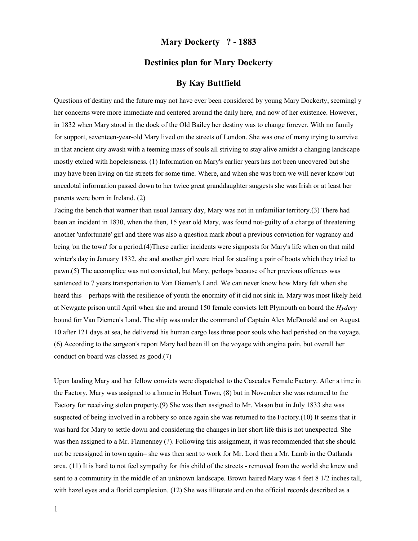## Mary Dockerty ? - 1883

## Destinies plan for Mary Dockerty

## By Kay Buttfield

Questions of destiny and the future may not have ever been considered by young Mary Dockerty, seemingl y her concerns were more immediate and centered around the daily here, and now of her existence. However, in 1832 when Mary stood in the dock of the Old Bailey her destiny was to change forever. With no family for support, seventeen-year-old Mary lived on the streets of London. She was one of many trying to survive in that ancient city awash with a teeming mass of souls all striving to stay alive amidst a changing landscape mostly etched with hopelessness. (1) Information on Mary's earlier years has not been uncovered but she may have been living on the streets for some time. Where, and when she was born we will never know but anecdotal information passed down to her twice great granddaughter suggests she was Irish or at least her parents were born in Ireland. (2)

Facing the bench that warmer than usual January day, Mary was not in unfamiliar territory.(3) There had been an incident in 1830, when the then, 15 year old Mary, was found not-guilty of a charge of threatening another 'unfortunate' girl and there was also a question mark about a previous conviction for vagrancy and being 'on the town' for a period.(4)These earlier incidents were signposts for Mary's life when on that mild winter's day in January 1832, she and another girl were tried for stealing a pair of boots which they tried to pawn.(5) The accomplice was not convicted, but Mary, perhaps because of her previous offences was sentenced to 7 years transportation to Van Diemen's Land. We can never know how Mary felt when she heard this – perhaps with the resilience of youth the enormity of it did not sink in. Mary was most likely held at Newgate prison until April when she and around 150 female convicts left Plymouth on board the Hydery bound for Van Diemen's Land. The ship was under the command of Captain Alex McDonald and on August 10 after 121 days at sea, he delivered his human cargo less three poor souls who had perished on the voyage. (6) According to the surgeon's report Mary had been ill on the voyage with angina pain, but overall her conduct on board was classed as good.(7)

Upon landing Mary and her fellow convicts were dispatched to the Cascades Female Factory. After a time in the Factory, Mary was assigned to a home in Hobart Town, (8) but in November she was returned to the Factory for receiving stolen property.(9) She was then assigned to Mr. Mason but in July 1833 she was suspected of being involved in a robbery so once again she was returned to the Factory.(10) It seems that it was hard for Mary to settle down and considering the changes in her short life this is not unexpected. She was then assigned to a Mr. Flamenney (?). Following this assignment, it was recommended that she should not be reassigned in town again– she was then sent to work for Mr. Lord then a Mr. Lamb in the Oatlands area. (11) It is hard to not feel sympathy for this child of the streets - removed from the world she knew and sent to a community in the middle of an unknown landscape. Brown haired Mary was 4 feet 8 1/2 inches tall, with hazel eyes and a florid complexion. (12) She was illiterate and on the official records described as a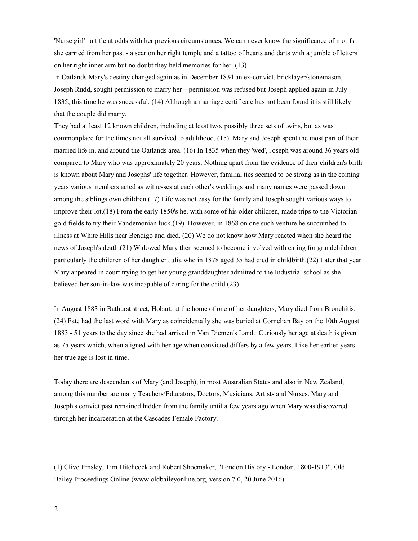'Nurse girl' –a title at odds with her previous circumstances. We can never know the significance of motifs she carried from her past - a scar on her right temple and a tattoo of hearts and darts with a jumble of letters on her right inner arm but no doubt they held memories for her. (13)

In Oatlands Mary's destiny changed again as in December 1834 an ex-convict, bricklayer/stonemason, Joseph Rudd, sought permission to marry her – permission was refused but Joseph applied again in July 1835, this time he was successful. (14) Although a marriage certificate has not been found it is still likely that the couple did marry.

They had at least 12 known children, including at least two, possibly three sets of twins, but as was commonplace for the times not all survived to adulthood. (15) Mary and Joseph spent the most part of their married life in, and around the Oatlands area. (16) In 1835 when they 'wed', Joseph was around 36 years old compared to Mary who was approximately 20 years. Nothing apart from the evidence of their children's birth is known about Mary and Josephs' life together. However, familial ties seemed to be strong as in the coming years various members acted as witnesses at each other's weddings and many names were passed down among the siblings own children.(17) Life was not easy for the family and Joseph sought various ways to improve their lot.(18) From the early 1850's he, with some of his older children, made trips to the Victorian gold fields to try their Vandemonian luck.(19) However, in 1868 on one such venture he succumbed to illness at White Hills near Bendigo and died. (20) We do not know how Mary reacted when she heard the news of Joseph's death.(21) Widowed Mary then seemed to become involved with caring for grandchildren particularly the children of her daughter Julia who in 1878 aged 35 had died in childbirth.(22) Later that year Mary appeared in court trying to get her young granddaughter admitted to the Industrial school as she believed her son-in-law was incapable of caring for the child.(23)

In August 1883 in Bathurst street, Hobart, at the home of one of her daughters, Mary died from Bronchitis. (24) Fate had the last word with Mary as coincidentally she was buried at Cornelian Bay on the 10th August 1883 - 51 years to the day since she had arrived in Van Diemen's Land. Curiously her age at death is given as 75 years which, when aligned with her age when convicted differs by a few years. Like her earlier years her true age is lost in time.

Today there are descendants of Mary (and Joseph), in most Australian States and also in New Zealand, among this number are many Teachers/Educators, Doctors, Musicians, Artists and Nurses. Mary and Joseph's convict past remained hidden from the family until a few years ago when Mary was discovered through her incarceration at the Cascades Female Factory.

(1) Clive Emsley, Tim Hitchcock and Robert Shoemaker, "London History - London, 1800-1913", Old Bailey Proceedings Online (www.oldbaileyonline.org, version 7.0, 20 June 2016)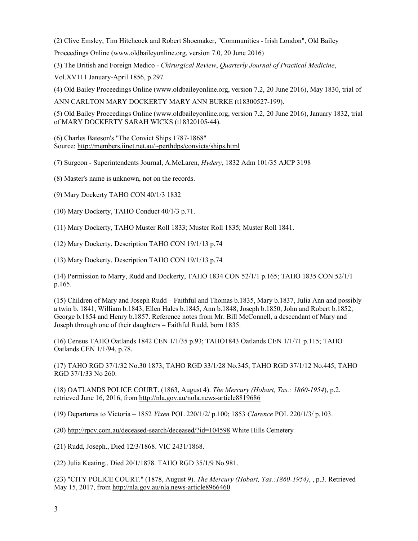(2) Clive Emsley, Tim Hitchcock and Robert Shoemaker, "Communities - Irish London", Old Bailey

Proceedings Online (www.oldbaileyonline.org, version 7.0, 20 June 2016)

(3) The British and Foreign Medico - Chirurgical Review, Quarterly Journal of Practical Medicine,

Vol.XV111 January-April 1856, p.297.

(4) Old Bailey Proceedings Online (www.oldbaileyonline.org, version 7.2, 20 June 2016), May 1830, trial of

ANN CARLTON MARY DOCKERTY MARY ANN BURKE (t18300527-199).

(5) Old Bailey Proceedings Online (www.oldbaileyonline.org, version 7.2, 20 June 2016), January 1832, trial of MARY DOCKERTY SARAH WICKS (t18320105-44).

(6) Charles Bateson's "The Convict Ships 1787-1868" Source: http://members.iinet.net.au/~perthdps/convicts/ships.html

(7) Surgeon - Superintendents Journal, A.McLaren, Hydery, 1832 Adm 101/35 AJCP 3198

(8) Master's name is unknown, not on the records.

(9) Mary Dockerty TAHO CON 40/1/3 1832

(10) Mary Dockerty, TAHO Conduct 40/1/3 p.71.

(11) Mary Dockerty, TAHO Muster Roll 1833; Muster Roll 1835; Muster Roll 1841.

(12) Mary Dockerty, Description TAHO CON 19/1/13 p.74

(13) Mary Dockerty, Description TAHO CON 19/1/13 p.74

(14) Permission to Marry, Rudd and Dockerty, TAHO 1834 CON 52/1/1 p.165; TAHO 1835 CON 52/1/1 p.165.

(15) Children of Mary and Joseph Rudd – Faithful and Thomas b.1835, Mary b.1837, Julia Ann and possibly a twin b. 1841, William b.1843, Ellen Hales b.1845, Ann b.1848, Joseph b.1850, John and Robert b.1852, George b.1854 and Henry b.1857. Reference notes from Mr. Bill McConnell, a descendant of Mary and Joseph through one of their daughters – Faithful Rudd, born 1835.

(16) Census TAHO Oatlands 1842 CEN 1/1/35 p.93; TAHO1843 Oatlands CEN 1/1/71 p.115; TAHO Oatlands CEN 1/1/94, p.78.

(17) TAHO RGD 37/1/32 No.30 1873; TAHO RGD 33/1/28 No.345; TAHO RGD 37/1/12 No.445; TAHO RGD 37/1/33 No 260.

(18) OATLANDS POLICE COURT. (1863, August 4). The Mercury (Hobart, Tas.: 1860-1954), p.2. retrieved June 16, 2016, from http://nla.gov.au/nola.news-article8819686

(19) Departures to Victoria – 1852 Vixen POL 220/1/2/ p.100; 1853 Clarence POL 220/1/3/ p.103.

(20) http://rpcv.com.au/deceased-search/deceased/?id=104598 White Hills Cemetery

(21) Rudd, Joseph., Died 12/3/1868. VIC 2431/1868.

(22) Julia Keating., Died 20/1/1878. TAHO RGD 35/1/9 No.981.

(23) "CITY POLICE COURT." (1878, August 9). The Mercury (Hobart, Tas.:1860-1954), , p.3. Retrieved May 15, 2017, from http://nla.gov.au/nla.news-article8966460